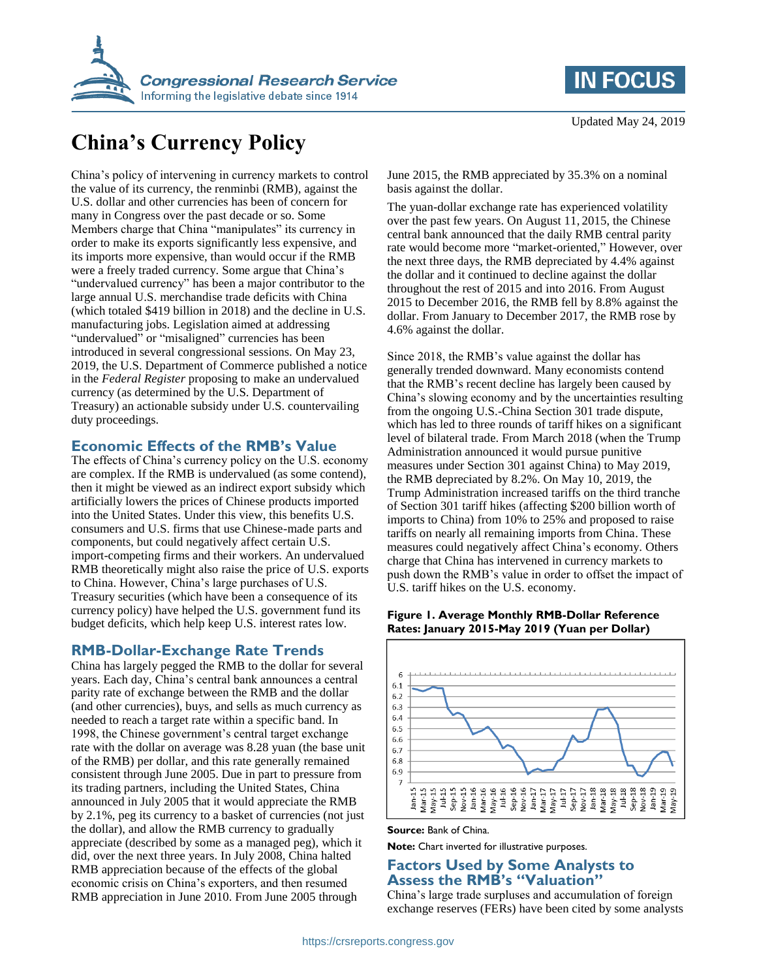

## **IN FOCUS**

# **China's Currency Policy**

China's policy of intervening in currency markets to control the value of its currency, the renminbi (RMB), against the U.S. dollar and other currencies has been of concern for many in Congress over the past decade or so. Some Members charge that China "manipulates" its currency in order to make its exports significantly less expensive, and its imports more expensive, than would occur if the RMB were a freely traded currency. Some argue that China's "undervalued currency" has been a major contributor to the large annual U.S. merchandise trade deficits with China (which totaled \$419 billion in 2018) and the decline in U.S. manufacturing jobs. Legislation aimed at addressing "undervalued" or "misaligned" currencies has been introduced in several congressional sessions. On May 23, 2019, the U.S. Department of Commerce published a notice in the *Federal Register* proposing to make an undervalued currency (as determined by the U.S. Department of Treasury) an actionable subsidy under U.S. countervailing duty proceedings.

## **Economic Effects of the RMB's Value**

The effects of China's currency policy on the U.S. economy are complex. If the RMB is undervalued (as some contend), then it might be viewed as an indirect export subsidy which artificially lowers the prices of Chinese products imported into the United States. Under this view, this benefits U.S. consumers and U.S. firms that use Chinese-made parts and components, but could negatively affect certain U.S. import-competing firms and their workers. An undervalued RMB theoretically might also raise the price of U.S. exports to China. However, China's large purchases of U.S. Treasury securities (which have been a consequence of its currency policy) have helped the U.S. government fund its budget deficits, which help keep U.S. interest rates low.

## **RMB-Dollar-Exchange Rate Trends**

China has largely pegged the RMB to the dollar for several years. Each day, China's central bank announces a central parity rate of exchange between the RMB and the dollar (and other currencies), buys, and sells as much currency as needed to reach a target rate within a specific band. In 1998, the Chinese government's central target exchange rate with the dollar on average was 8.28 yuan (the base unit of the RMB) per dollar, and this rate generally remained consistent through June 2005. Due in part to pressure from its trading partners, including the United States, China announced in July 2005 that it would appreciate the RMB by 2.1%, peg its currency to a basket of currencies (not just the dollar), and allow the RMB currency to gradually appreciate (described by some as a managed peg), which it did, over the next three years. In July 2008, China halted RMB appreciation because of the effects of the global economic crisis on China's exporters, and then resumed RMB appreciation in June 2010. From June 2005 through

June 2015, the RMB appreciated by 35.3% on a nominal basis against the dollar.

The yuan-dollar exchange rate has experienced volatility over the past few years. On August 11, 2015, the Chinese central bank announced that the daily RMB central parity rate would become more "market-oriented," However, over the next three days, the RMB depreciated by 4.4% against the dollar and it continued to decline against the dollar throughout the rest of 2015 and into 2016. From August 2015 to December 2016, the RMB fell by 8.8% against the dollar. From January to December 2017, the RMB rose by 4.6% against the dollar.

Since 2018, the RMB's value against the dollar has generally trended downward. Many economists contend that the RMB's recent decline has largely been caused by China's slowing economy and by the uncertainties resulting from the ongoing U.S.-China Section 301 trade dispute, which has led to three rounds of tariff hikes on a significant level of bilateral trade. From March 2018 (when the Trump Administration announced it would pursue punitive measures under Section 301 against China) to May 2019, the RMB depreciated by 8.2%. On May 10, 2019, the Trump Administration increased tariffs on the third tranche of Section 301 tariff hikes (affecting \$200 billion worth of imports to China) from 10% to 25% and proposed to raise tariffs on nearly all remaining imports from China. These measures could negatively affect China's economy. Others charge that China has intervened in currency markets to push down the RMB's value in order to offset the impact of U.S. tariff hikes on the U.S. economy.

#### **Figure 1. Average Monthly RMB-Dollar Reference Rates: January 2015-May 2019 (Yuan per Dollar)**



#### **Source:** Bank of China.

**Note:** Chart inverted for illustrative purposes.

## **Factors Used by Some Analysts to Assess the RMB's "Valuation"**

China's large trade surpluses and accumulation of foreign exchange reserves (FERs) have been cited by some analysts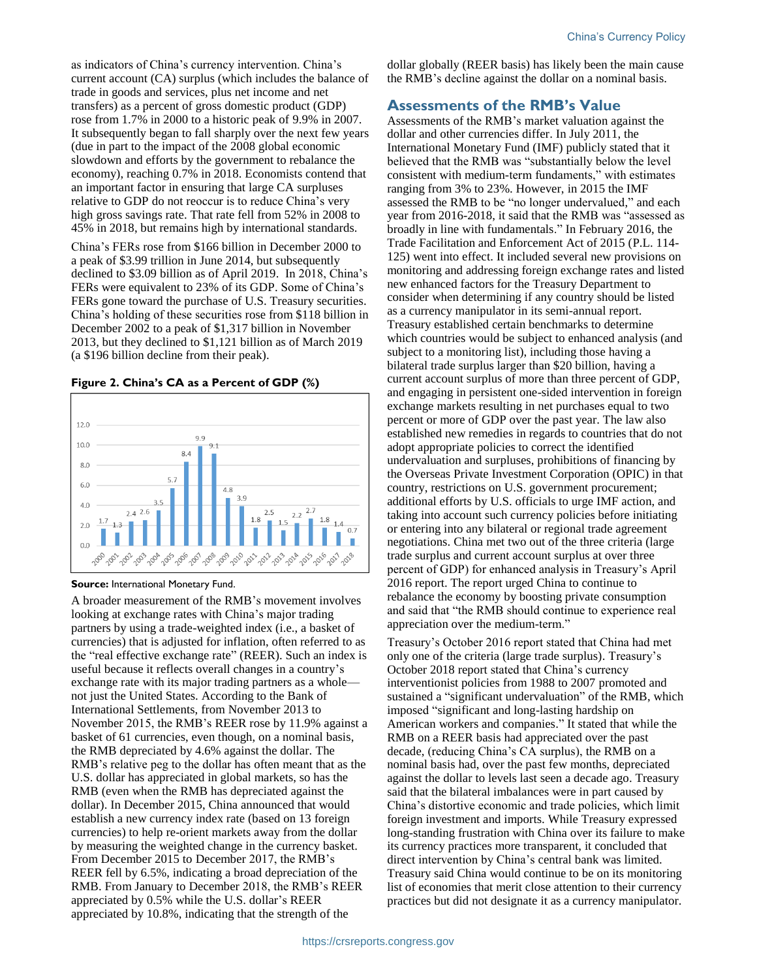as indicators of China's currency intervention. China's current account (CA) surplus (which includes the balance of trade in goods and services, plus net income and net transfers) as a percent of gross domestic product (GDP) rose from 1.7% in 2000 to a historic peak of 9.9% in 2007. It subsequently began to fall sharply over the next few years (due in part to the impact of the 2008 global economic slowdown and efforts by the government to rebalance the economy), reaching 0.7% in 2018. Economists contend that an important factor in ensuring that large CA surpluses relative to GDP do not reoccur is to reduce China's very high gross savings rate. That rate fell from 52% in 2008 to 45% in 2018, but remains high by international standards.

China's FERs rose from \$166 billion in December 2000 to a peak of \$3.99 trillion in June 2014, but subsequently declined to \$3.09 billion as of April 2019. In 2018, China's FERs were equivalent to 23% of its GDP. Some of China's FERs gone toward the purchase of U.S. Treasury securities. China's holding of these securities rose from \$118 billion in December 2002 to a peak of \$1,317 billion in November 2013, but they declined to \$1,121 billion as of March 2019 (a \$196 billion decline from their peak).

#### **Figure 2. China's CA as a Percent of GDP (%)**



#### **Source:** International Monetary Fund.

A broader measurement of the RMB's movement involves looking at exchange rates with China's major trading partners by using a trade-weighted index (i.e., a basket of currencies) that is adjusted for inflation, often referred to as the "real effective exchange rate" (REER). Such an index is useful because it reflects overall changes in a country's exchange rate with its major trading partners as a whole not just the United States. According to the Bank of International Settlements, from November 2013 to November 2015, the RMB's REER rose by 11.9% against a basket of 61 currencies, even though, on a nominal basis, the RMB depreciated by 4.6% against the dollar. The RMB's relative peg to the dollar has often meant that as the U.S. dollar has appreciated in global markets, so has the RMB (even when the RMB has depreciated against the dollar). In December 2015, China announced that would establish a new currency index rate (based on 13 foreign currencies) to help re-orient markets away from the dollar by measuring the weighted change in the currency basket. From December 2015 to December 2017, the RMB's REER fell by 6.5%, indicating a broad depreciation of the RMB. From January to December 2018, the RMB's REER appreciated by 0.5% while the U.S. dollar's REER appreciated by 10.8%, indicating that the strength of the

dollar globally (REER basis) has likely been the main cause the RMB's decline against the dollar on a nominal basis.

### **Assessments of the RMB's Value**

Assessments of the RMB's market valuation against the dollar and other currencies differ. In July 2011, the International Monetary Fund (IMF) publicly stated that it believed that the RMB was "substantially below the level consistent with medium-term fundaments," with estimates ranging from 3% to 23%. However, in 2015 the IMF assessed the RMB to be "no longer undervalued," and each year from 2016-2018, it said that the RMB was "assessed as broadly in line with fundamentals." In February 2016, the Trade Facilitation and Enforcement Act of 2015 (P.L. 114- 125) went into effect. It included several new provisions on monitoring and addressing foreign exchange rates and listed new enhanced factors for the Treasury Department to consider when determining if any country should be listed as a currency manipulator in its semi-annual report. Treasury established certain benchmarks to determine which countries would be subject to enhanced analysis (and subject to a monitoring list), including those having a bilateral trade surplus larger than \$20 billion, having a current account surplus of more than three percent of GDP, and engaging in persistent one-sided intervention in foreign exchange markets resulting in net purchases equal to two percent or more of GDP over the past year. The law also established new remedies in regards to countries that do not adopt appropriate policies to correct the identified undervaluation and surpluses, prohibitions of financing by the Overseas Private Investment Corporation (OPIC) in that country, restrictions on U.S. government procurement; additional efforts by U.S. officials to urge IMF action, and taking into account such currency policies before initiating or entering into any bilateral or regional trade agreement negotiations. China met two out of the three criteria (large trade surplus and current account surplus at over three percent of GDP) for enhanced analysis in Treasury's April 2016 report. The report urged China to continue to rebalance the economy by boosting private consumption and said that "the RMB should continue to experience real appreciation over the medium-term."

Treasury's October 2016 report stated that China had met only one of the criteria (large trade surplus). Treasury's October 2018 report stated that China's currency interventionist policies from 1988 to 2007 promoted and sustained a "significant undervaluation" of the RMB, which imposed "significant and long-lasting hardship on American workers and companies." It stated that while the RMB on a REER basis had appreciated over the past decade, (reducing China's CA surplus), the RMB on a nominal basis had, over the past few months, depreciated against the dollar to levels last seen a decade ago. Treasury said that the bilateral imbalances were in part caused by China's distortive economic and trade policies, which limit foreign investment and imports. While Treasury expressed long-standing frustration with China over its failure to make its currency practices more transparent, it concluded that direct intervention by China's central bank was limited. Treasury said China would continue to be on its monitoring list of economies that merit close attention to their currency practices but did not designate it as a currency manipulator.